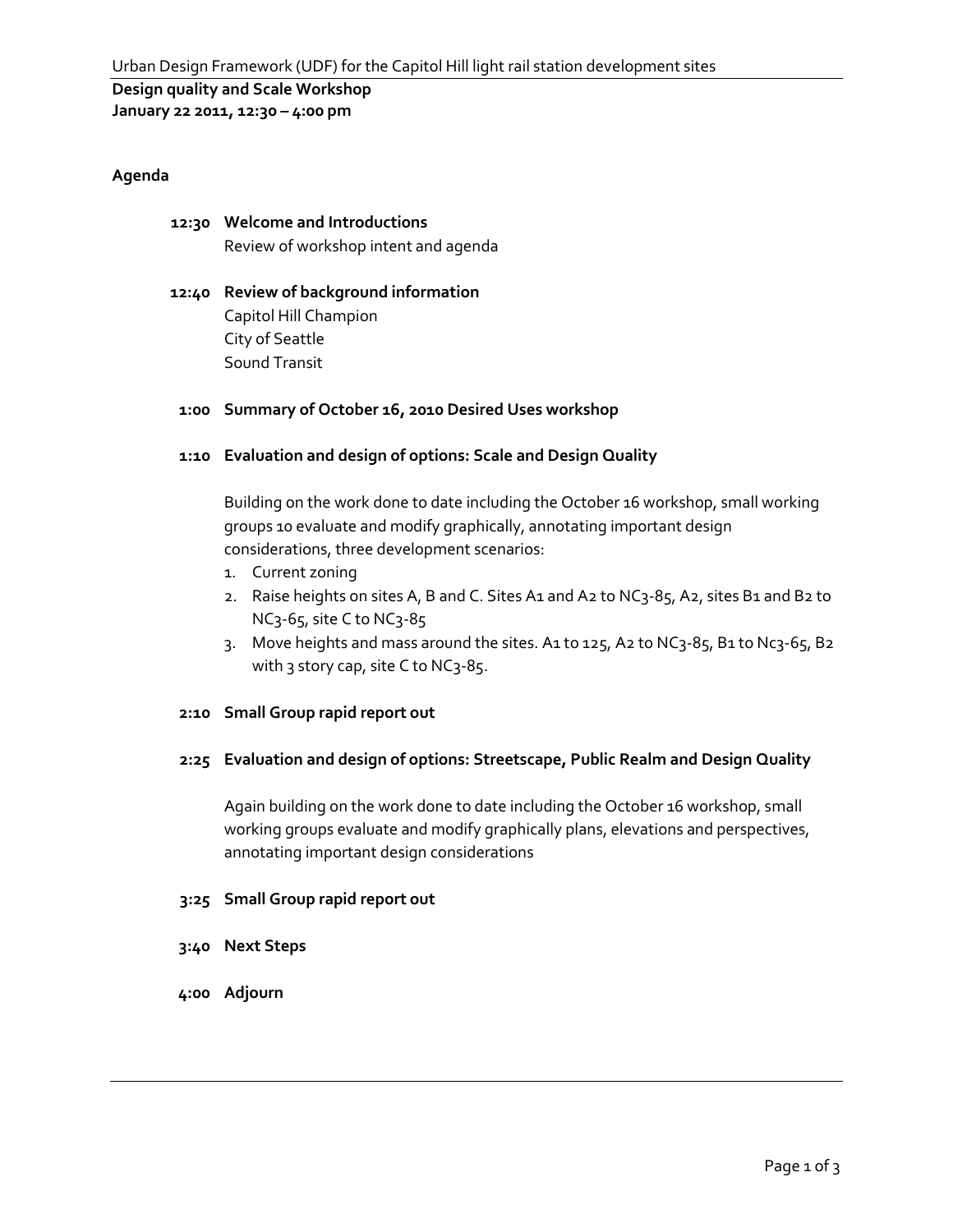# **Design quality and Scale Workshop**

**January 22 2011, 12:30 – 4:00 pm**

#### **Agenda**

# **12:30 Welcome and Introductions**

Review of workshop intent and agenda

# **12:40 Review of background information** Capitol Hill Champion City of Seattle

Sound Transit

# **1:00 Summary of October 16, 2010 Desired Uses workshop**

# **1:10 Evaluation and design of options: Scale and Design Quality**

Building on the work done to date including the October 16 workshop, small working groups 10 evaluate and modify graphically, annotating important design considerations, three development scenarios:

- 1. Current zoning
- 2. Raise heights on sites A, B and C. Sites A1 and A2 to NC3-85, A2, sites B1 and B2 to NC3-65, site C to NC3-85
- 3. Move heights and mass around the sites. A1 to 125, A2 to NC3-85, B1 to Nc3-65, B2 with 3 story cap, site C to NC3-85.

#### **2:10 Small Group rapid report out**

#### **2:25 Evaluation and design of options: Streetscape, Public Realm and Design Quality**

Again building on the work done to date including the October 16 workshop, small working groups evaluate and modify graphically plans, elevations and perspectives, annotating important design considerations

#### **3:25 Small Group rapid report out**

- **3:40 Next Steps**
- **4:00 Adjourn**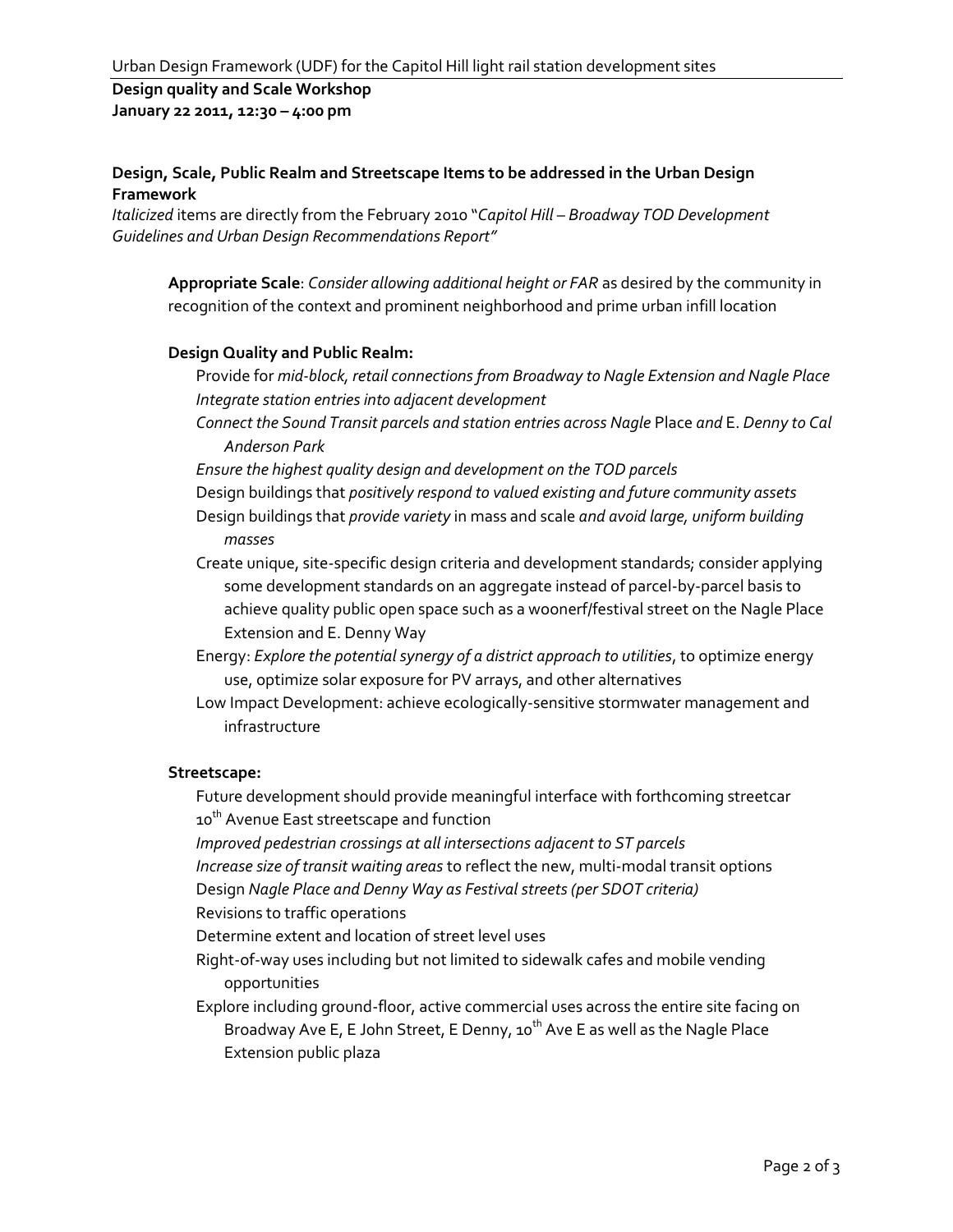#### **Design quality and Scale Workshop January 22 2011, 12:30 – 4:00 pm**

# **Design, Scale, Public Realm and Streetscape Items to be addressed in the Urban Design Framework**

*Italicized* items are directly from the February 2010 "*Capitol Hill – Broadway TOD Development Guidelines and Urban Design Recommendations Report"*

**Appropriate Scale**: *Consider allowing additional height or FAR* as desired by the community in recognition of the context and prominent neighborhood and prime urban infill location

#### **Design Quality and Public Realm:**

- Provide for *mid-block, retail connections from Broadway to Nagle Extension and Nagle Place Integrate station entries into adjacent development*
- *Connect the Sound Transit parcels and station entries across Nagle* Place *and* E. *Denny to Cal Anderson Park*
- *Ensure the highest quality design and development on the TOD parcels*
- Design buildings that *positively respond to valued existing and future community assets*
- Design buildings that *provide variety* in mass and scale *and avoid large, uniform building masses*
- Create unique, site-specific design criteria and development standards; consider applying some development standards on an aggregate instead of parcel-by-parcel basis to achieve quality public open space such as a woonerf/festival street on the Nagle Place Extension and E. Denny Way
- Energy: *Explore the potential synergy of a district approach to utilities*, to optimize energy use, optimize solar exposure for PV arrays, and other alternatives
- Low Impact Development: achieve ecologically-sensitive stormwater management and infrastructure

#### **Streetscape:**

- Future development should provide meaningful interface with forthcoming streetcar 10<sup>th</sup> Avenue East streetscape and function
- *Improved pedestrian crossings at all intersections adjacent to ST parcels*
- *Increase size of transit waiting areas* to reflect the new, multi-modal transit options
- Design *Nagle Place and Denny Way as Festival streets (per SDOT criteria)*

Revisions to traffic operations

- Determine extent and location of street level uses
- Right-of-way uses including but not limited to sidewalk cafes and mobile vending opportunities
- Explore including ground-floor, active commercial uses across the entire site facing on Broadway Ave E, E John Street, E Denny,  $10^{th}$  Ave E as well as the Nagle Place Extension public plaza